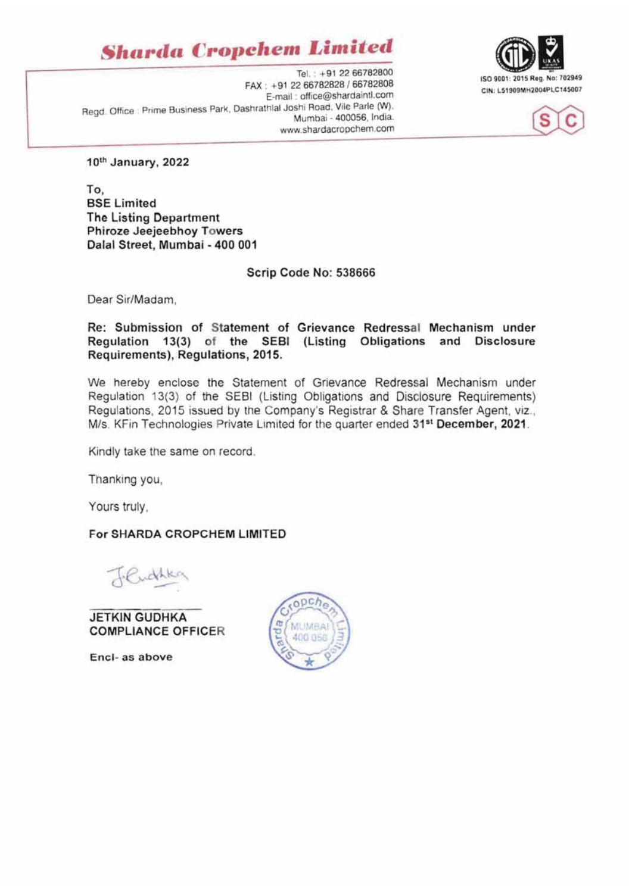**Sharda Cropchem Limited** 







10th January, 2022

To, **BSE Limited The Listing Department** Phiroze Jeejeebhoy Towers Dalal Street, Mumbai - 400 001

Scrip Code No: 538666

Dear Sir/Madam.

Re: Submission of Statement of Grievance Redressal Mechanism under Regulation 13(3) of the SEBI (Listing Obligations and Disclosure Requirements), Requlations, 2015.

We hereby enclose the Statement of Grievance Redressal Mechanism under Regulation 13(3) of the SEBI (Listing Obligations and Disclosure Requirements) Regulations, 2015 issued by the Company's Registrar & Share Transfer Agent, viz., M/s. KFin Technologies Private Limited for the quarter ended 31<sup>st</sup> December, 2021.

Kindly take the same on record.

Thanking you,

Yours truly.

For SHARDA CROPCHEM LIMITED

Tendhka

**JETKIN GUDHKA COMPLIANCE OFFICER** 

Encl- as above